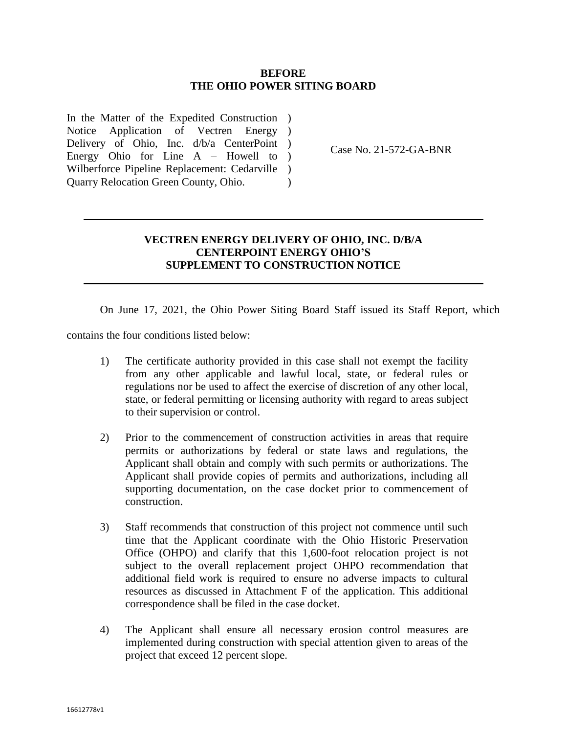## **BEFORE THE OHIO POWER SITING BOARD**

In the Matter of the Expedited Construction ) Notice Application of Vectren Energy ) Delivery of Ohio, Inc. d/b/a CenterPoint ) Energy Ohio for Line A – Howell to ) Wilberforce Pipeline Replacement: Cedarville ) Quarry Relocation Green County, Ohio.  $\lambda$ 

Case No. 21-572-GA-BNR

## **VECTREN ENERGY DELIVERY OF OHIO, INC. D/B/A CENTERPOINT ENERGY OHIO'S SUPPLEMENT TO CONSTRUCTION NOTICE**

On June 17, 2021, the Ohio Power Siting Board Staff issued its Staff Report, which

contains the four conditions listed below:

- 1) The certificate authority provided in this case shall not exempt the facility from any other applicable and lawful local, state, or federal rules or regulations nor be used to affect the exercise of discretion of any other local, state, or federal permitting or licensing authority with regard to areas subject to their supervision or control.
- 2) Prior to the commencement of construction activities in areas that require permits or authorizations by federal or state laws and regulations, the Applicant shall obtain and comply with such permits or authorizations. The Applicant shall provide copies of permits and authorizations, including all supporting documentation, on the case docket prior to commencement of construction.
- 3) Staff recommends that construction of this project not commence until such time that the Applicant coordinate with the Ohio Historic Preservation Office (OHPO) and clarify that this 1,600-foot relocation project is not subject to the overall replacement project OHPO recommendation that additional field work is required to ensure no adverse impacts to cultural resources as discussed in Attachment F of the application. This additional correspondence shall be filed in the case docket.
- 4) The Applicant shall ensure all necessary erosion control measures are implemented during construction with special attention given to areas of the project that exceed 12 percent slope.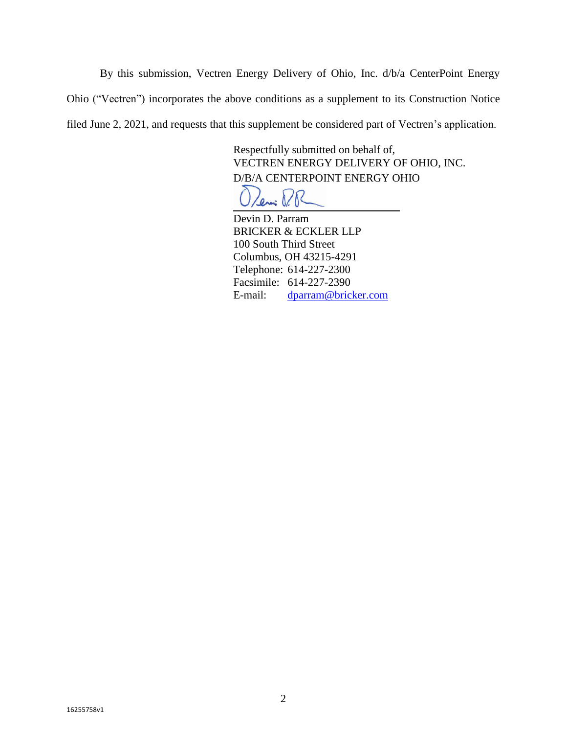By this submission, Vectren Energy Delivery of Ohio, Inc. d/b/a CenterPoint Energy Ohio ("Vectren") incorporates the above conditions as a supplement to its Construction Notice filed June 2, 2021, and requests that this supplement be considered part of Vectren's application.

> Respectfully submitted on behalf of, VECTREN ENERGY DELIVERY OF OHIO, INC. D/B/A CENTERPOINT ENERGY OHIO

Devin D. Parram BRICKER & ECKLER LLP 100 South Third Street Columbus, OH 43215-4291 Telephone: 614-227-2300 Facsimile: 614-227-2390 E-mail: [dparram@bricker.com](mailto:dparram@bricker.com)